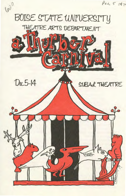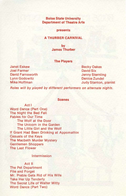# **Boise State University Department of Theatre Arts**

#### **presents**

## **A THURBER CARNIVAL**

**by James Thurber** 

#### **The Players**

Janet Eskew Joel Farmer David Farnsworth Lynn Godowitz Mike Hoffman

Becky Oakes David Six Jenny Sternling Denice Zundel Judy Stanton, pianist

Roles will by played by different performers on alternate nights.

#### **Scenes**

Act I Word Dance (Part One) The Night the Bed Fell Fables for Our Time The Wolf at the Door The Unicorn in the Garden The Little Girl and the Wolf If Grant Had Been Drinking at Appomattox Casuals of the Keys The Macbeth Murder Mystery Gentlemen Shoppers The Last Flower

## Intermission

## Act II

The Pet Department File and Forget Mr. Preble Gets Rid of His Wife Take Her Up Tenderly The Secret Life of Walter Mitty Word Dance (Part Two)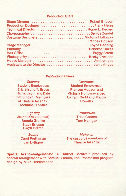# **Production Staff**

| Technical Director Roger L. Bedard   |                       |
|--------------------------------------|-----------------------|
|                                      |                       |
|                                      |                       |
| <b>PART MARKET</b>                   | <b>Frances Hopson</b> |
|                                      |                       |
|                                      |                       |
|                                      |                       |
|                                      |                       |
|                                      |                       |
| Assistant to the DirectorJan Lythgoe |                       |
|                                      |                       |

# **Production Crews**

**Scenery** Student Employees: Eric Bischoff, Bruce Richardson, and Dale Smitchger. Members of Theatre Arts 117: Technical Theatre

Lighting Joanne Olson (head) Brenda Grunke Stacy Ericson Gwyn Harms

> Sound Carol Prettyman Jan Lythgoe

**Costumes** Student Employees : Frances Hopson and Victoria Holloway aided by Tam Cudd and Marcia **Howells** 

> **Properties** Trish Coonts Tom Hanigan

Make-up The cast plus members of Theatre Arts 162

**Special Acknowledgements:** "A Thurber Carnival" produced by special arrangement with Samuel French, Inc. Poster and program design by Mike Riddlemoser.